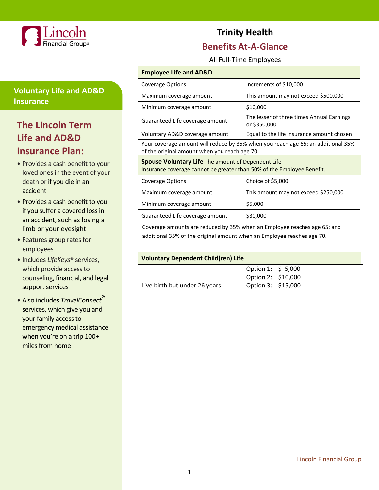

## **Voluntary Life and AD&D Insurance**

# **The Lincoln Term Life and AD&D Insurance Plan:**

- Provides a cash benefit to your loved ones in the event of your death or if you die in an accident
- Provides a cash benefit to you if you suffer a covered loss in an accident, such as losing a limb or your eyesight
- Features group rates for employees
- Includes *LifeKeys*® services, which provide access to counseling, financial, and legal support services
- Also includes *TravelConnect*® services, which give you and your family access to emergency medical assistance when you're on a trip 100+ miles from home

# **Trinity Health**

## **Benefits At-A-Glance**

All Full-Time Employees

### **Employee Life and AD&D**

| Coverage Options                                                                 | Increments of \$10,000                                    |  |
|----------------------------------------------------------------------------------|-----------------------------------------------------------|--|
| Maximum coverage amount                                                          | This amount may not exceed \$500,000                      |  |
| Minimum coverage amount                                                          | \$10,000                                                  |  |
| Guaranteed Life coverage amount                                                  | The lesser of three times Annual Earnings<br>or \$350,000 |  |
| Voluntary AD&D coverage amount                                                   | Equal to the life insurance amount chosen                 |  |
| Your coverage amount will reduce by 35% when you reach age 65; an additional 35% |                                                           |  |

of the original amount when you reach age 70.

### **Spouse Voluntary Life** The amount of Dependent Life

Insurance coverage cannot be greater than 50% of the Employee Benefit.

| Coverage Options                | Choice of \$5,000                    |  |
|---------------------------------|--------------------------------------|--|
| Maximum coverage amount         | This amount may not exceed \$250,000 |  |
| Minimum coverage amount         | \$5,000                              |  |
| Guaranteed Life coverage amount | \$30,000                             |  |

Coverage amounts are reduced by 35% when an Employee reaches age 65; and additional 35% of the original amount when an Employee reaches age 70.

| <b>Voluntary Dependent Child(ren) Life</b> |                                                                |  |
|--------------------------------------------|----------------------------------------------------------------|--|
|                                            |                                                                |  |
|                                            | Option 1: \$ 5,000<br>Option 2: \$10,000<br>Option 3: \$15,000 |  |
| Live birth but under 26 years              |                                                                |  |
|                                            |                                                                |  |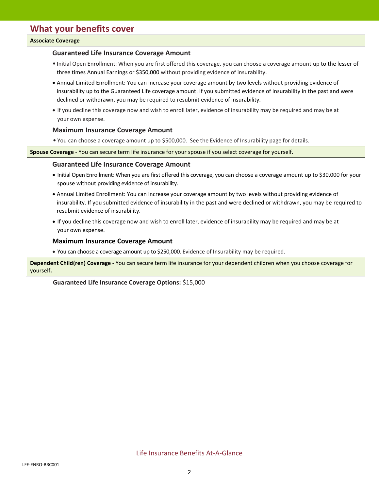#### **Associate Coverage**

#### **Guaranteed Life Insurance Coverage Amount**

- Initial Open Enrollment: When you are first offered this coverage, you can choose a coverage amount up to the lesser of three times Annual Earnings or \$350,000 without providing evidence of insurability.
- Annual Limited Enrollment: You can increase your coverage amount by two levels without providing evidence of insurability up to the Guaranteed Life coverage amount. If you submitted evidence of insurability in the past and were declined or withdrawn, you may be required to resubmit evidence of insurability.
- If you decline this coverage now and wish to enroll later, evidence of insurability may be required and may be at your own expense.

#### **Maximum Insurance Coverage Amount**

• You can choose a coverage amount up to \$500,000. See the Evidence of Insurability page for details.

**Spouse Coverage** - You can secure term life insurance for your spouse if you select coverage for yourself.

#### **Guaranteed Life Insurance Coverage Amount**

- Initial Open Enrollment: When you are first offered this coverage, you can choose a coverage amount up to \$30,000 for your spouse without providing evidence of insurability.
- Annual Limited Enrollment: You can increase your coverage amount by two levels without providing evidence of insurability. If you submitted evidence of insurability in the past and were declined or withdrawn, you may be required to resubmit evidence of insurability.
- If you decline this coverage now and wish to enroll later, evidence of insurability may be required and may be at your own expense.

#### **Maximum Insurance Coverage Amount**

• You can choose a coverage amount up to \$250,000. Evidence of Insurability may be required.

**Dependent Child(ren) Coverage -** You can secure term life insurance for your dependent children when you choose coverage for yourself**.**

**Guaranteed Life Insurance Coverage Options:** \$15,000

Life Insurance Benefits At-A-Glance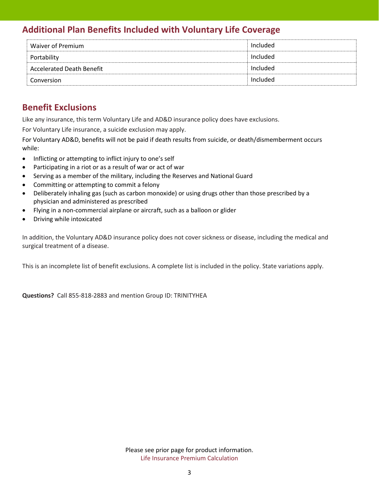# **Additional Plan Benefits Included with Voluntary Life Coverage**

| Waiver of Premium                | Included |
|----------------------------------|----------|
| Portability                      | Included |
| <b>Accelerated Death Benefit</b> | Included |
| Conversion                       | Included |

## **Benefit Exclusions**

Like any insurance, this term Voluntary Life and AD&D insurance policy does have exclusions.

For Voluntary Life insurance, a suicide exclusion may apply.

For Voluntary AD&D, benefits will not be paid if death results from suicide, or death/dismemberment occurs while:

- Inflicting or attempting to inflict injury to one's self
- Participating in a riot or as a result of war or act of war
- Serving as a member of the military, including the Reserves and National Guard
- Committing or attempting to commit a felony
- Deliberately inhaling gas (such as carbon monoxide) or using drugs other than those prescribed by a physician and administered as prescribed
- Flying in a non-commercial airplane or aircraft, such as a balloon or glider
- Driving while intoxicated

In addition, the Voluntary AD&D insurance policy does not cover sickness or disease, including the medical and surgical treatment of a disease.

This is an incomplete list of benefit exclusions. A complete list is included in the policy. State variations apply.

**Questions?** Call 855-818-2883 and mention Group ID: TRINITYHEA